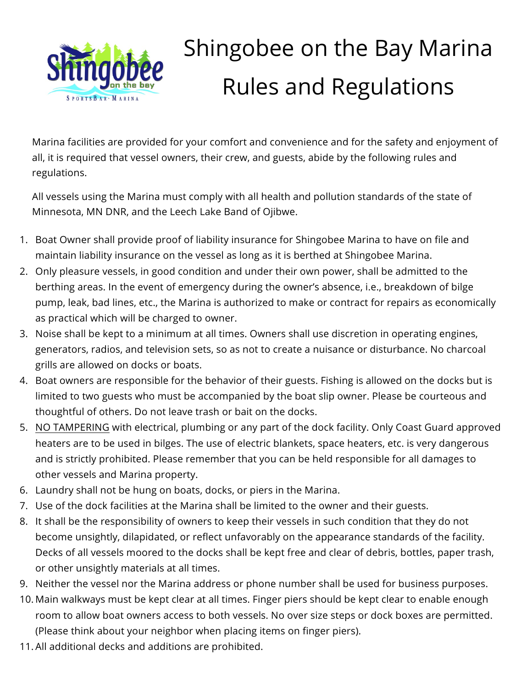

## Shingobee on the Bay Marina Rules and Regulations

Marina facilities are provided for your comfort and convenience and for the safety and enjoyment of all, it is required that vessel owners, their crew, and guests, abide by the following rules and regulations.

All vessels using the Marina must comply with all health and pollution standards of the state of Minnesota, MN DNR, and the Leech Lake Band of Ojibwe.

- 1. Boat Owner shall provide proof of liability insurance for Shingobee Marina to have on file and maintain liability insurance on the vessel as long as it is berthed at Shingobee Marina.
- 2. Only pleasure vessels, in good condition and under their own power, shall be admitted to the berthing areas. In the event of emergency during the owner's absence, i.e., breakdown of bilge pump, leak, bad lines, etc., the Marina is authorized to make or contract for repairs as economically as practical which will be charged to owner.
- 3. Noise shall be kept to a minimum at all times. Owners shall use discretion in operating engines, generators, radios, and television sets, so as not to create a nuisance or disturbance. No charcoal grills are allowed on docks or boats.
- 4. Boat owners are responsible for the behavior of their guests. Fishing is allowed on the docks but is limited to two guests who must be accompanied by the boat slip owner. Please be courteous and thoughtful of others. Do not leave trash or bait on the docks.
- 5. NO TAMPERING with electrical, plumbing or any part of the dock facility. Only Coast Guard approved heaters are to be used in bilges. The use of electric blankets, space heaters, etc. is very dangerous and is strictly prohibited. Please remember that you can be held responsible for all damages to other vessels and Marina property.
- 6. Laundry shall not be hung on boats, docks, or piers in the Marina.
- 7. Use of the dock facilities at the Marina shall be limited to the owner and their guests.
- 8. It shall be the responsibility of owners to keep their vessels in such condition that they do not become unsightly, dilapidated, or reflect unfavorably on the appearance standards of the facility. Decks of all vessels moored to the docks shall be kept free and clear of debris, bottles, paper trash, or other unsightly materials at all times.
- 9. Neither the vessel nor the Marina address or phone number shall be used for business purposes.
- 10. Main walkways must be kept clear at all times. Finger piers should be kept clear to enable enough room to allow boat owners access to both vessels. No over size steps or dock boxes are permitted. (Please think about your neighbor when placing items on finger piers).
- 11. All additional decks and additions are prohibited.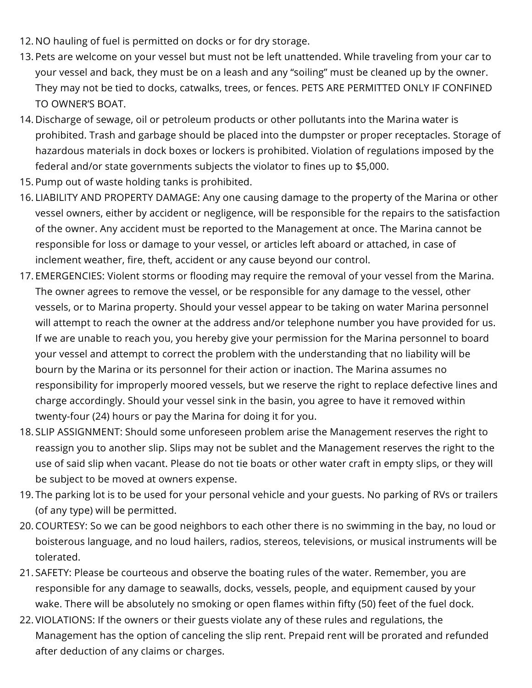- 12. NO hauling of fuel is permitted on docks or for dry storage.
- 13. Pets are welcome on your vessel but must not be left unattended. While traveling from your car to your vessel and back, they must be on a leash and any "soiling" must be cleaned up by the owner. They may not be tied to docks, catwalks, trees, or fences. PETS ARE PERMITTED ONLY IF CONFINED TO OWNER'S BOAT.
- 14. Discharge of sewage, oil or petroleum products or other pollutants into the Marina water is prohibited. Trash and garbage should be placed into the dumpster or proper receptacles. Storage of hazardous materials in dock boxes or lockers is prohibited. Violation of regulations imposed by the federal and/or state governments subjects the violator to fines up to \$5,000.
- 15. Pump out of waste holding tanks is prohibited.
- 16. LIABILITY AND PROPERTY DAMAGE: Any one causing damage to the property of the Marina or other vessel owners, either by accident or negligence, will be responsible for the repairs to the satisfaction of the owner. Any accident must be reported to the Management at once. The Marina cannot be responsible for loss or damage to your vessel, or articles left aboard or attached, in case of inclement weather, fire, theft, accident or any cause beyond our control.
- 17. EMERGENCIES: Violent storms or flooding may require the removal of your vessel from the Marina. The owner agrees to remove the vessel, or be responsible for any damage to the vessel, other vessels, or to Marina property. Should your vessel appear to be taking on water Marina personnel will attempt to reach the owner at the address and/or telephone number you have provided for us. If we are unable to reach you, you hereby give your permission for the Marina personnel to board your vessel and attempt to correct the problem with the understanding that no liability will be bourn by the Marina or its personnel for their action or inaction. The Marina assumes no responsibility for improperly moored vessels, but we reserve the right to replace defective lines and charge accordingly. Should your vessel sink in the basin, you agree to have it removed within twenty-four (24) hours or pay the Marina for doing it for you.
- 18. SLIP ASSIGNMENT: Should some unforeseen problem arise the Management reserves the right to reassign you to another slip. Slips may not be sublet and the Management reserves the right to the use of said slip when vacant. Please do not tie boats or other water craft in empty slips, or they will be subject to be moved at owners expense.
- 19. The parking lot is to be used for your personal vehicle and your guests. No parking of RVs or trailers (of any type) will be permitted.
- 20. COURTESY: So we can be good neighbors to each other there is no swimming in the bay, no loud or boisterous language, and no loud hailers, radios, stereos, televisions, or musical instruments will be tolerated.
- 21. SAFETY: Please be courteous and observe the boating rules of the water. Remember, you are responsible for any damage to seawalls, docks, vessels, people, and equipment caused by your wake. There will be absolutely no smoking or open flames within fifty (50) feet of the fuel dock.
- 22. VIOLATIONS: If the owners or their guests violate any of these rules and regulations, the Management has the option of canceling the slip rent. Prepaid rent will be prorated and refunded after deduction of any claims or charges.